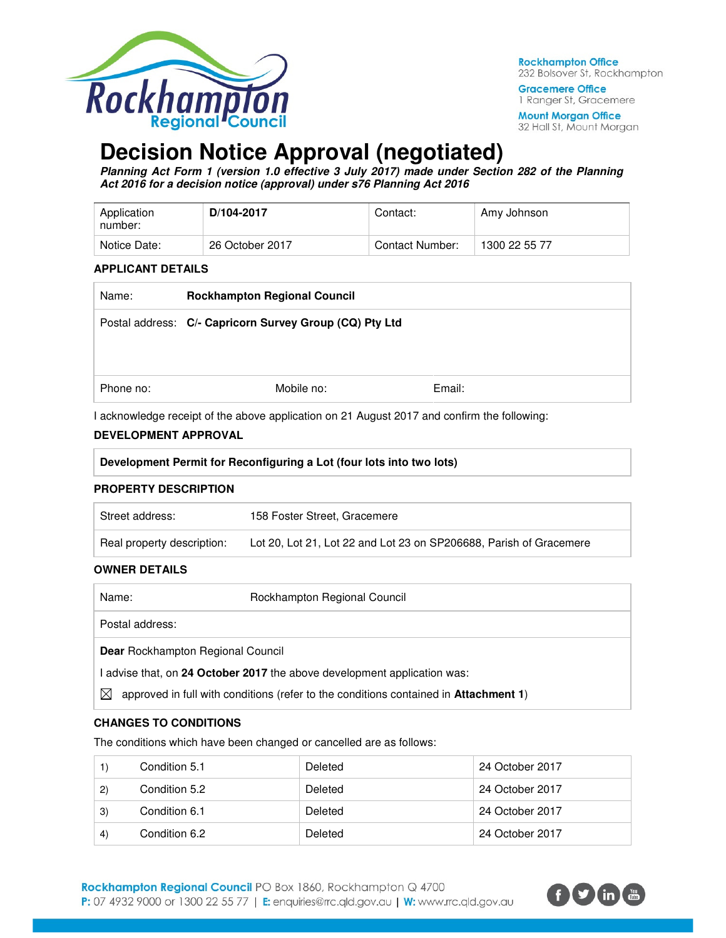

**Rockhampton Office** 232 Bolsover St, Rockhampton

**Gracemere Office** 1 Ranger St, Gracemere

**Mount Morgan Office** 32 Hall St, Mount Morgan

# **Decision Notice Approval (negotiated)**

**Planning Act Form 1 (version 1.0 effective 3 July 2017) made under Section 282 of the Planning Act 2016 for a decision notice (approval) under s76 Planning Act 2016** 

| Application<br>number: | D/104-2017      | Contact:        | Amy Johnson   |
|------------------------|-----------------|-----------------|---------------|
| Notice Date:           | 26 October 2017 | Contact Number: | 1300 22 55 77 |

### **APPLICANT DETAILS**

| Name:     | <b>Rockhampton Regional Council</b>                     |        |  |
|-----------|---------------------------------------------------------|--------|--|
|           | Postal address: C/- Capricorn Survey Group (CQ) Pty Ltd |        |  |
|           |                                                         |        |  |
|           |                                                         |        |  |
| Phone no: | Mobile no:                                              | Email: |  |
|           |                                                         |        |  |

I acknowledge receipt of the above application on 21 August 2017 and confirm the following:

# **DEVELOPMENT APPROVAL**

| Development Permit for Reconfiguring a Lot (four lots into two lots) |  |
|----------------------------------------------------------------------|--|
|                                                                      |  |

# **PROPERTY DESCRIPTION**

| Street address:            | 158 Foster Street, Gracemere                                       |
|----------------------------|--------------------------------------------------------------------|
| Real property description: | Lot 20, Lot 21, Lot 22 and Lot 23 on SP206688, Parish of Gracemere |

# **OWNER DETAILS**

| Name:                                                                  | Rockhampton Regional Council                                                                 |  |  |
|------------------------------------------------------------------------|----------------------------------------------------------------------------------------------|--|--|
| Postal address:                                                        |                                                                                              |  |  |
| <b>Dear</b> Rockhampton Regional Council                               |                                                                                              |  |  |
| advise that, on 24 October 2017 the above development application was: |                                                                                              |  |  |
| $\bowtie$                                                              | approved in full with conditions (refer to the conditions contained in <b>Attachment 1</b> ) |  |  |

# **CHANGES TO CONDITIONS**

The conditions which have been changed or cancelled are as follows:

|              | Condition 5.1 | Deleted | 24 October 2017 |
|--------------|---------------|---------|-----------------|
| $\mathbf{2}$ | Condition 5.2 | Deleted | 24 October 2017 |
| 3)           | Condition 6.1 | Deleted | 24 October 2017 |
| $\vert$      | Condition 6.2 | Deleted | 24 October 2017 |

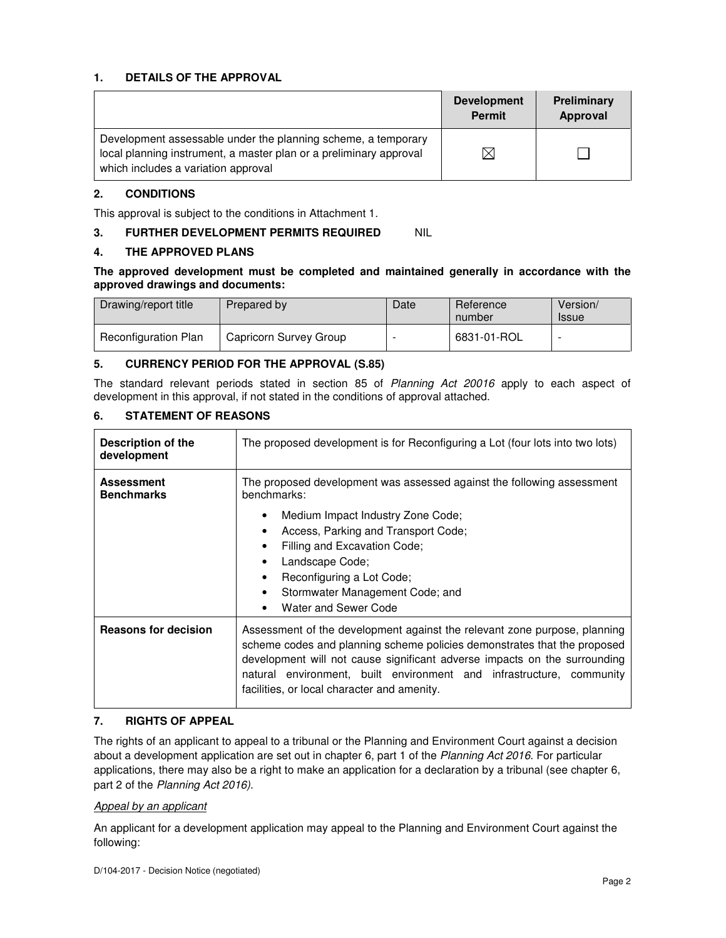# **1. DETAILS OF THE APPROVAL**

|                                                                                                                                                                            | <b>Development</b><br><b>Permit</b> | Preliminary<br>Approval |
|----------------------------------------------------------------------------------------------------------------------------------------------------------------------------|-------------------------------------|-------------------------|
| Development assessable under the planning scheme, a temporary<br>local planning instrument, a master plan or a preliminary approval<br>which includes a variation approval | $\bowtie$                           |                         |

# **2. CONDITIONS**

This approval is subject to the conditions in Attachment 1.

# **3. FURTHER DEVELOPMENT PERMITS REQUIRED NIL**

### **4. THE APPROVED PLANS**

# **The approved development must be completed and maintained generally in accordance with the approved drawings and documents:**

| Drawing/report title        | <b>Prepared by</b>     | Date | Reference<br>number | Version/<br><b>Issue</b> |
|-----------------------------|------------------------|------|---------------------|--------------------------|
| <b>Reconfiguration Plan</b> | Capricorn Survey Group |      | 6831-01-ROL         |                          |

# **5. CURRENCY PERIOD FOR THE APPROVAL (S.85)**

The standard relevant periods stated in section 85 of Planning Act 20016 apply to each aspect of development in this approval, if not stated in the conditions of approval attached.

# **6. STATEMENT OF REASONS**

| Description of the<br>development      | The proposed development is for Reconfiguring a Lot (four lots into two lots)                                                                                                                                                                                                                                                                             |  |  |
|----------------------------------------|-----------------------------------------------------------------------------------------------------------------------------------------------------------------------------------------------------------------------------------------------------------------------------------------------------------------------------------------------------------|--|--|
| <b>Assessment</b><br><b>Benchmarks</b> | The proposed development was assessed against the following assessment<br>benchmarks:                                                                                                                                                                                                                                                                     |  |  |
|                                        | Medium Impact Industry Zone Code;                                                                                                                                                                                                                                                                                                                         |  |  |
|                                        | Access, Parking and Transport Code;<br>٠                                                                                                                                                                                                                                                                                                                  |  |  |
|                                        | Filling and Excavation Code;<br>٠                                                                                                                                                                                                                                                                                                                         |  |  |
|                                        | Landscape Code;<br>٠                                                                                                                                                                                                                                                                                                                                      |  |  |
|                                        | Reconfiguring a Lot Code;<br>٠                                                                                                                                                                                                                                                                                                                            |  |  |
|                                        | Stormwater Management Code; and<br>٠                                                                                                                                                                                                                                                                                                                      |  |  |
|                                        | Water and Sewer Code<br>$\bullet$                                                                                                                                                                                                                                                                                                                         |  |  |
| <b>Reasons for decision</b>            | Assessment of the development against the relevant zone purpose, planning<br>scheme codes and planning scheme policies demonstrates that the proposed<br>development will not cause significant adverse impacts on the surrounding<br>natural environment, built environment and infrastructure, community<br>facilities, or local character and amenity. |  |  |

# **7. RIGHTS OF APPEAL**

The rights of an applicant to appeal to a tribunal or the Planning and Environment Court against a decision about a development application are set out in chapter 6, part 1 of the Planning Act 2016. For particular applications, there may also be a right to make an application for a declaration by a tribunal (see chapter 6, part 2 of the Planning Act 2016).

### Appeal by an applicant

An applicant for a development application may appeal to the Planning and Environment Court against the following: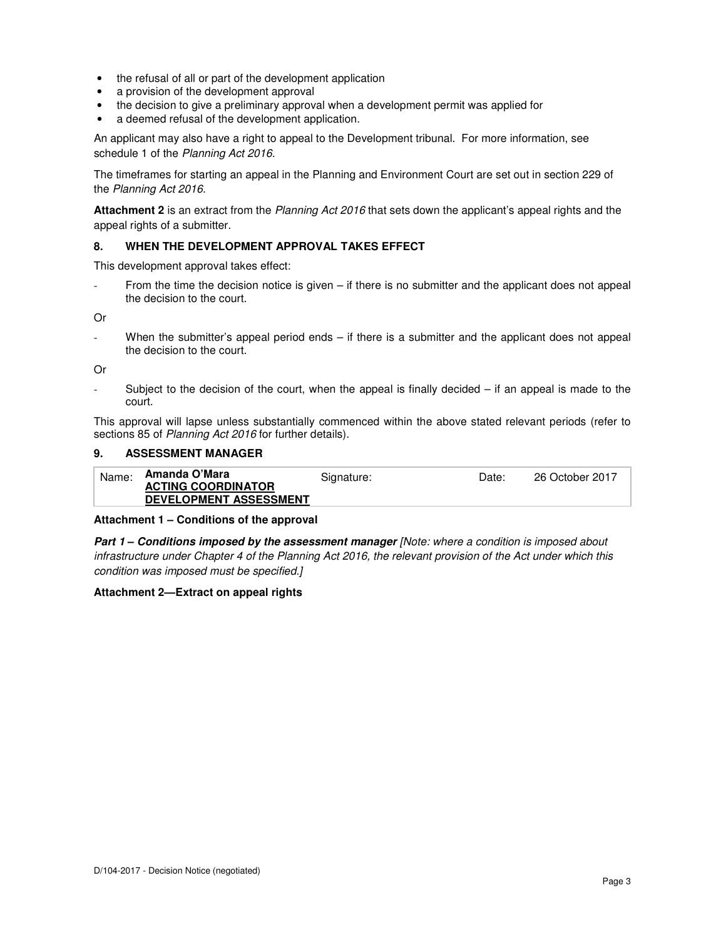- the refusal of all or part of the development application
- a provision of the development approval
- the decision to give a preliminary approval when a development permit was applied for
- a deemed refusal of the development application.

An applicant may also have a right to appeal to the Development tribunal. For more information, see schedule 1 of the Planning Act 2016.

The timeframes for starting an appeal in the Planning and Environment Court are set out in section 229 of the Planning Act 2016.

**Attachment 2** is an extract from the Planning Act 2016 that sets down the applicant's appeal rights and the appeal rights of a submitter.

### **8. WHEN THE DEVELOPMENT APPROVAL TAKES EFFECT**

This development approval takes effect:

From the time the decision notice is given  $-$  if there is no submitter and the applicant does not appeal the decision to the court.

Or

When the submitter's appeal period ends  $-$  if there is a submitter and the applicant does not appeal the decision to the court.

Or

Subject to the decision of the court, when the appeal is finally decided  $-$  if an appeal is made to the court.

This approval will lapse unless substantially commenced within the above stated relevant periods (refer to sections 85 of Planning Act 2016 for further details).

### **9. ASSESSMENT MANAGER**

| Name: | Amanda O'Mara                 | Signature: | Date: | 26 October 2017 |
|-------|-------------------------------|------------|-------|-----------------|
|       | <b>ACTING COORDINATOR</b>     |            |       |                 |
|       | <b>DEVELOPMENT ASSESSMENT</b> |            |       |                 |

### **Attachment 1 – Conditions of the approval**

**Part 1 – Conditions imposed by the assessment manager** [Note: where a condition is imposed about infrastructure under Chapter 4 of the Planning Act 2016, the relevant provision of the Act under which this condition was imposed must be specified.]

### **Attachment 2—Extract on appeal rights**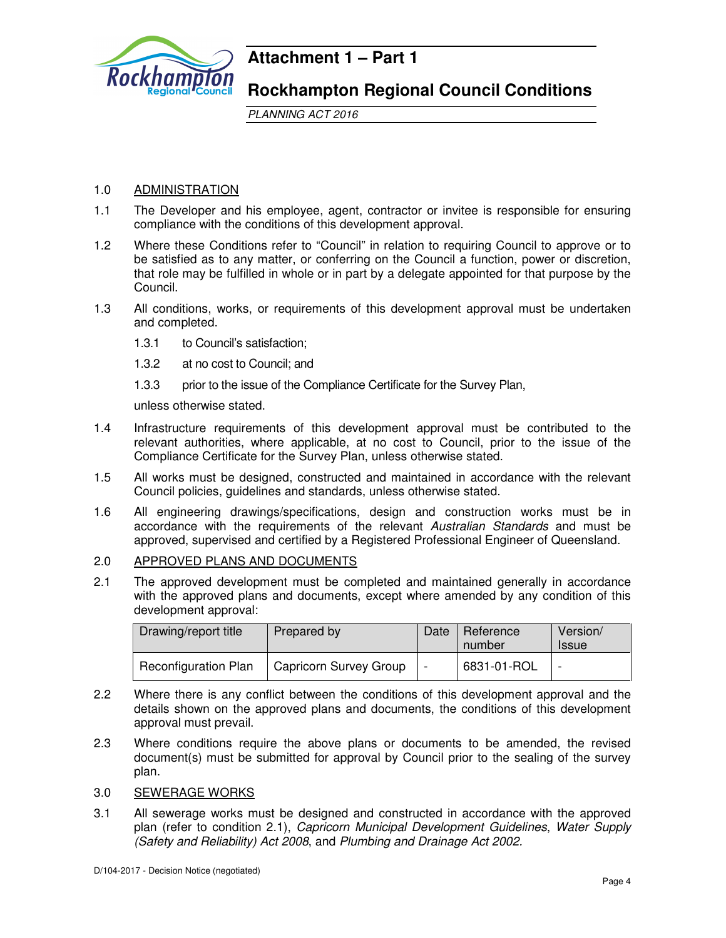

# **Attachment 1 – Part 1**

# **Rockhampton Regional Council Conditions**

PLANNING ACT 2016

# 1.0 ADMINISTRATION

- 1.1 The Developer and his employee, agent, contractor or invitee is responsible for ensuring compliance with the conditions of this development approval.
- 1.2 Where these Conditions refer to "Council" in relation to requiring Council to approve or to be satisfied as to any matter, or conferring on the Council a function, power or discretion, that role may be fulfilled in whole or in part by a delegate appointed for that purpose by the Council.
- 1.3 All conditions, works, or requirements of this development approval must be undertaken and completed.
	- 1.3.1 to Council's satisfaction;
	- 1.3.2 at no cost to Council; and
	- 1.3.3 prior to the issue of the Compliance Certificate for the Survey Plan,

unless otherwise stated.

- 1.4 Infrastructure requirements of this development approval must be contributed to the relevant authorities, where applicable, at no cost to Council, prior to the issue of the Compliance Certificate for the Survey Plan, unless otherwise stated.
- 1.5 All works must be designed, constructed and maintained in accordance with the relevant Council policies, guidelines and standards, unless otherwise stated.
- 1.6 All engineering drawings/specifications, design and construction works must be in accordance with the requirements of the relevant Australian Standards and must be approved, supervised and certified by a Registered Professional Engineer of Queensland.

# 2.0 APPROVED PLANS AND DOCUMENTS

2.1 The approved development must be completed and maintained generally in accordance with the approved plans and documents, except where amended by any condition of this development approval:

| Drawing/report title        |                               | Date                     | Reference   | Version/     |
|-----------------------------|-------------------------------|--------------------------|-------------|--------------|
| Prepared by                 |                               |                          | number      | <b>Issue</b> |
| <b>Reconfiguration Plan</b> | <b>Capricorn Survey Group</b> | $\overline{\phantom{0}}$ | 6831-01-ROL |              |

- 2.2 Where there is any conflict between the conditions of this development approval and the details shown on the approved plans and documents, the conditions of this development approval must prevail.
- 2.3 Where conditions require the above plans or documents to be amended, the revised document(s) must be submitted for approval by Council prior to the sealing of the survey plan.
- 3.0 SEWERAGE WORKS
- 3.1 All sewerage works must be designed and constructed in accordance with the approved plan (refer to condition 2.1), Capricorn Municipal Development Guidelines, Water Supply (Safety and Reliability) Act 2008, and Plumbing and Drainage Act 2002.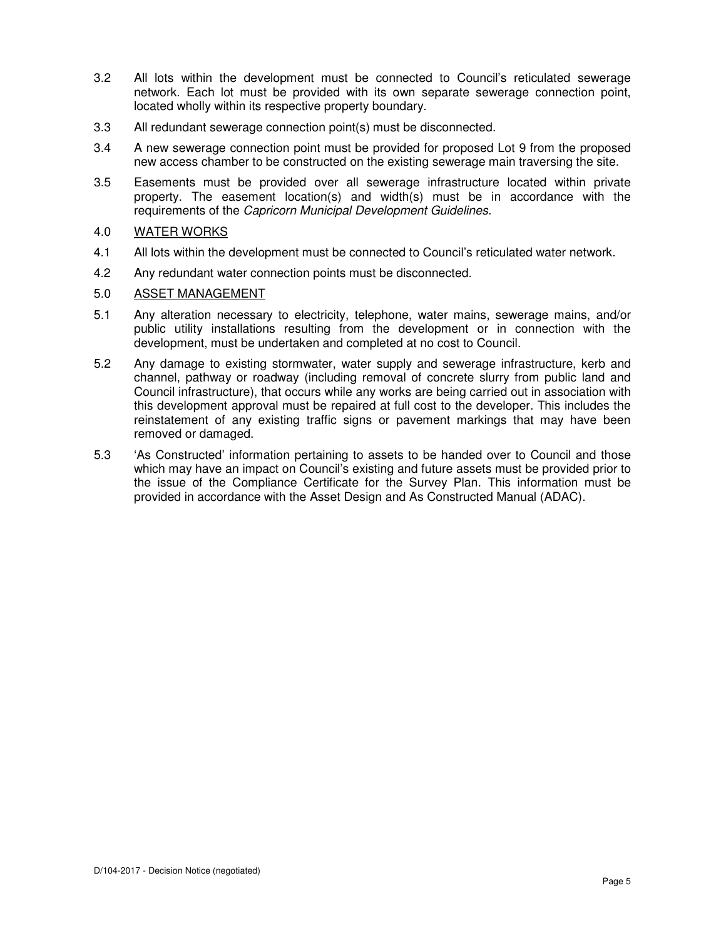- 3.2 All lots within the development must be connected to Council's reticulated sewerage network. Each lot must be provided with its own separate sewerage connection point, located wholly within its respective property boundary.
- 3.3 All redundant sewerage connection point(s) must be disconnected.
- 3.4 A new sewerage connection point must be provided for proposed Lot 9 from the proposed new access chamber to be constructed on the existing sewerage main traversing the site.
- 3.5 Easements must be provided over all sewerage infrastructure located within private property. The easement location(s) and width(s) must be in accordance with the requirements of the Capricorn Municipal Development Guidelines.

# 4.0 WATER WORKS

- 4.1 All lots within the development must be connected to Council's reticulated water network.
- 4.2 Any redundant water connection points must be disconnected.

### 5.0 ASSET MANAGEMENT

- 5.1 Any alteration necessary to electricity, telephone, water mains, sewerage mains, and/or public utility installations resulting from the development or in connection with the development, must be undertaken and completed at no cost to Council.
- 5.2 Any damage to existing stormwater, water supply and sewerage infrastructure, kerb and channel, pathway or roadway (including removal of concrete slurry from public land and Council infrastructure), that occurs while any works are being carried out in association with this development approval must be repaired at full cost to the developer. This includes the reinstatement of any existing traffic signs or pavement markings that may have been removed or damaged.
- 5.3 'As Constructed' information pertaining to assets to be handed over to Council and those which may have an impact on Council's existing and future assets must be provided prior to the issue of the Compliance Certificate for the Survey Plan. This information must be provided in accordance with the Asset Design and As Constructed Manual (ADAC).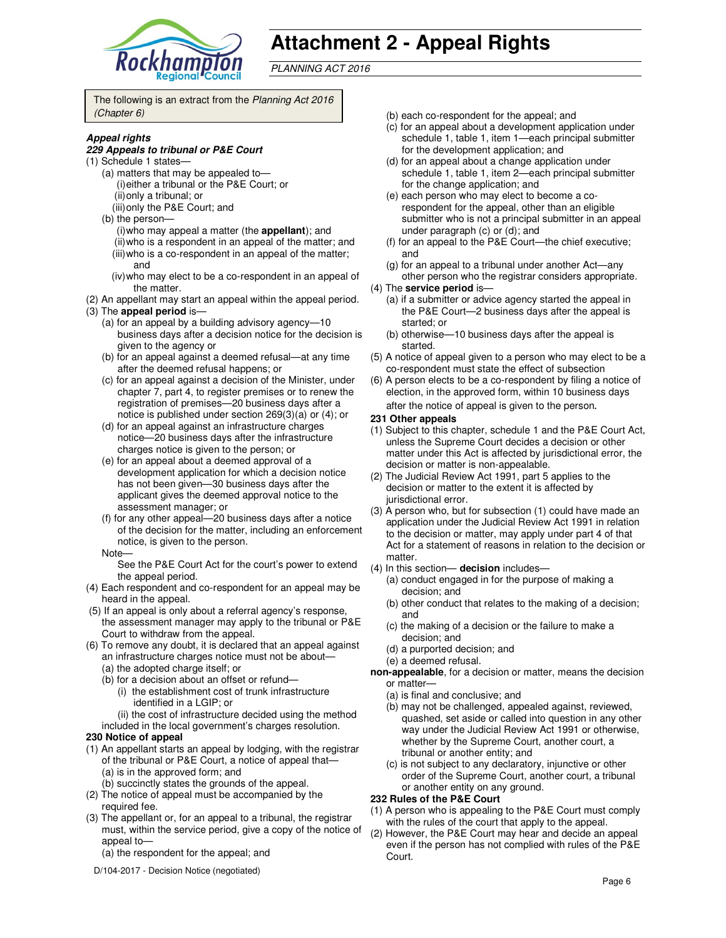

# **Attachment 2 - Appeal Rights**

PLANNING ACT 2016

The following is an extract from the Planning Act 2016 (Chapter 6)

### **Appeal rights**

### **229 Appeals to tribunal or P&E Court**

- (1) Schedule 1 states—
	- (a) matters that may be appealed to— (i) either a tribunal or the P&E Court; or
	- (ii) only a tribunal; or
	- (iii) only the P&E Court; and
	- (b) the person—
		- (i) who may appeal a matter (the **appellant**); and (ii) who is a respondent in an appeal of the matter; and (iii) who is a co-respondent in an appeal of the matter; and
		- (iv) who may elect to be a co-respondent in an appeal of the matter.
- (2) An appellant may start an appeal within the appeal period.
- (3) The **appeal period** is—
	- (a) for an appeal by a building advisory agency—10 business days after a decision notice for the decision is given to the agency or
	- (b) for an appeal against a deemed refusal—at any time after the deemed refusal happens; or
	- (c) for an appeal against a decision of the Minister, under chapter 7, part 4, to register premises or to renew the registration of premises—20 business days after a notice is published under section 269(3)(a) or (4); or
	- (d) for an appeal against an infrastructure charges notice—20 business days after the infrastructure charges notice is given to the person; or
	- (e) for an appeal about a deemed approval of a development application for which a decision notice has not been given—30 business days after the applicant gives the deemed approval notice to the assessment manager; or
	- (f) for any other appeal—20 business days after a notice of the decision for the matter, including an enforcement notice, is given to the person.
	- Note—

See the P&E Court Act for the court's power to extend the appeal period.

- (4) Each respondent and co-respondent for an appeal may be heard in the appeal.
- (5) If an appeal is only about a referral agency's response, the assessment manager may apply to the tribunal or P&E Court to withdraw from the appeal.
- (6) To remove any doubt, it is declared that an appeal against an infrastructure charges notice must not be about—
	- (a) the adopted charge itself; or
	- (b) for a decision about an offset or refund—
		- (i) the establishment cost of trunk infrastructure identified in a LGIP; or
	- (ii) the cost of infrastructure decided using the method included in the local government's charges resolution.

### **230 Notice of appeal**

- (1) An appellant starts an appeal by lodging, with the registrar of the tribunal or P&E Court, a notice of appeal that— (a) is in the approved form; and
- (b) succinctly states the grounds of the appeal. (2) The notice of appeal must be accompanied by the
- required fee. (3) The appellant or, for an appeal to a tribunal, the registrar must, within the service period, give a copy of the notice of appeal to—
	- (a) the respondent for the appeal; and
	- D/104-2017 Decision Notice (negotiated)
- (b) each co-respondent for the appeal; and
- (c) for an appeal about a development application under schedule 1, table 1, item 1—each principal submitter for the development application; and
- (d) for an appeal about a change application under schedule 1, table 1, item 2—each principal submitter for the change application; and
- (e) each person who may elect to become a corespondent for the appeal, other than an eligible submitter who is not a principal submitter in an appeal under paragraph (c) or (d); and
- (f) for an appeal to the P&E Court—the chief executive; and
- (g) for an appeal to a tribunal under another Act—any
- other person who the registrar considers appropriate. (4) The **service period** is—
	- (a) if a submitter or advice agency started the appeal in the P&E Court—2 business days after the appeal is started; or
	- (b) otherwise—10 business days after the appeal is started.
- (5) A notice of appeal given to a person who may elect to be a co-respondent must state the effect of subsection
- (6) A person elects to be a co-respondent by filing a notice of election, in the approved form, within 10 business days after the notice of appeal is given to the person*.*

### **231 Other appeals**

- (1) Subject to this chapter, schedule 1 and the P&E Court Act, unless the Supreme Court decides a decision or other matter under this Act is affected by jurisdictional error, the decision or matter is non-appealable.
- (2) The Judicial Review Act 1991, part 5 applies to the decision or matter to the extent it is affected by jurisdictional error.
- (3) A person who, but for subsection (1) could have made an application under the Judicial Review Act 1991 in relation to the decision or matter, may apply under part 4 of that Act for a statement of reasons in relation to the decision or matter.
- (4) In this section— **decision** includes—
	- (a) conduct engaged in for the purpose of making a decision; and
	- (b) other conduct that relates to the making of a decision; and
	- (c) the making of a decision or the failure to make a decision; and
	- (d) a purported decision; and
	- (e) a deemed refusal.
- **non-appealable**, for a decision or matter, means the decision or matter—
	- (a) is final and conclusive; and
	- (b) may not be challenged, appealed against, reviewed, quashed, set aside or called into question in any other way under the Judicial Review Act 1991 or otherwise, whether by the Supreme Court, another court, a tribunal or another entity; and
	- (c) is not subject to any declaratory, injunctive or other order of the Supreme Court, another court, a tribunal or another entity on any ground.

### **232 Rules of the P&E Court**

- (1) A person who is appealing to the P&E Court must comply with the rules of the court that apply to the appeal.
- (2) However, the P&E Court may hear and decide an appeal even if the person has not complied with rules of the P&E Court.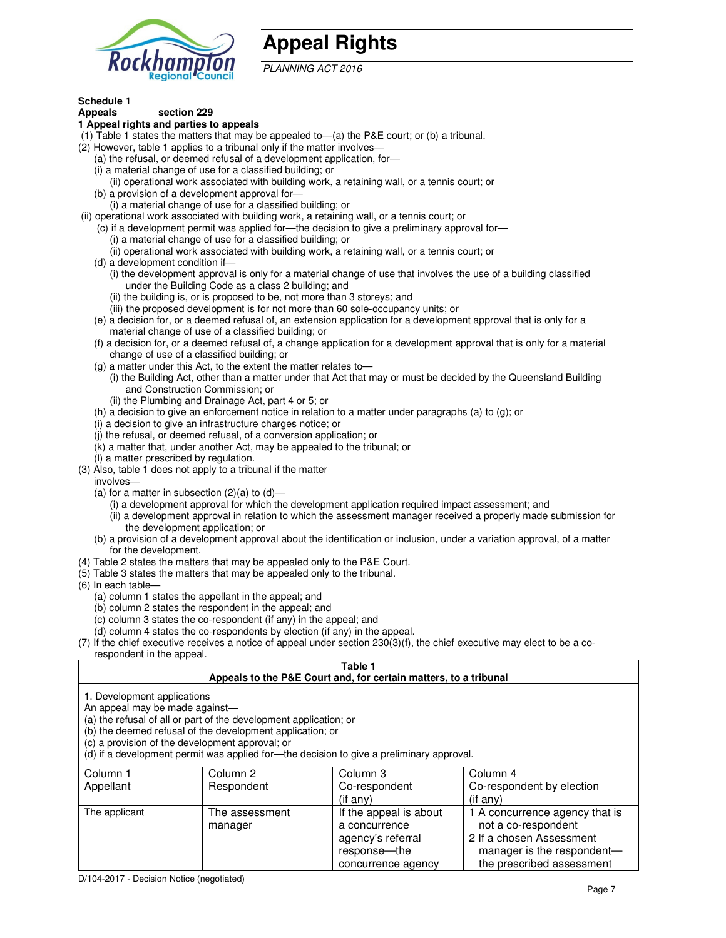

# **Appeal Rights**

PLANNING ACT 2016

# **Schedule 1**

#### **Appeals section 229 1 Appeal rights and parties to appeals**

- (1) Table 1 states the matters that may be appealed to—(a) the P&E court; or (b) a tribunal.
- (2) However, table 1 applies to a tribunal only if the matter involves—
	- (a) the refusal, or deemed refusal of a development application, for—
	- (i) a material change of use for a classified building; or
	- (ii) operational work associated with building work, a retaining wall, or a tennis court; or
	- (b) a provision of a development approval for—
	- (i) a material change of use for a classified building; or
- (ii) operational work associated with building work, a retaining wall, or a tennis court; or
	- (c) if a development permit was applied for—the decision to give a preliminary approval for—
		- (i) a material change of use for a classified building; or
		- (ii) operational work associated with building work, a retaining wall, or a tennis court; or
	- (d) a development condition if—
		- (i) the development approval is only for a material change of use that involves the use of a building classified under the Building Code as a class 2 building; and
		- (ii) the building is, or is proposed to be, not more than 3 storeys; and
		- (iii) the proposed development is for not more than 60 sole-occupancy units; or
	- (e) a decision for, or a deemed refusal of, an extension application for a development approval that is only for a material change of use of a classified building; or
	- (f) a decision for, or a deemed refusal of, a change application for a development approval that is only for a material change of use of a classified building; or
	- (g) a matter under this Act, to the extent the matter relates to—
		- (i) the Building Act, other than a matter under that Act that may or must be decided by the Queensland Building and Construction Commission; or
		- (ii) the Plumbing and Drainage Act, part 4 or 5; or
	- (h) a decision to give an enforcement notice in relation to a matter under paragraphs (a) to (g); or
	- (i) a decision to give an infrastructure charges notice; or
	- (j) the refusal, or deemed refusal, of a conversion application; or
	- (k) a matter that, under another Act, may be appealed to the tribunal; or
	- (l) a matter prescribed by regulation.
- (3) Also, table 1 does not apply to a tribunal if the matter
- involves—
	- (a) for a matter in subsection  $(2)(a)$  to  $(d)$ 
		- (i) a development approval for which the development application required impact assessment; and
		- (ii) a development approval in relation to which the assessment manager received a properly made submission for the development application; or
	- (b) a provision of a development approval about the identification or inclusion, under a variation approval, of a matter for the development.
- (4) Table 2 states the matters that may be appealed only to the P&E Court.
- (5) Table 3 states the matters that may be appealed only to the tribunal.
- (6) In each table—
	- (a) column 1 states the appellant in the appeal; and
	- (b) column 2 states the respondent in the appeal; and
	- (c) column 3 states the co-respondent (if any) in the appeal; and
	- (d) column 4 states the co-respondents by election (if any) in the appeal.
- $(7)$  If the chief executive receives a notice of appeal under section  $230(3)(f)$ , the chief executive may elect to be a corespondent in the appeal.

# **Table 1**

### **Appeals to the P&E Court and, for certain matters, to a tribunal**

1. Development applications

An appeal may be made against—

(a) the refusal of all or part of the development application; or

(b) the deemed refusal of the development application; or

(c) a provision of the development approval; or

(d) if a development permit was applied for—the decision to give a preliminary approval.

| Column 1      | Column 2                  | Column 3                                                                                           | Column 4                                                                                                                                     |
|---------------|---------------------------|----------------------------------------------------------------------------------------------------|----------------------------------------------------------------------------------------------------------------------------------------------|
| Appellant     | Respondent                | Co-respondent                                                                                      | Co-respondent by election                                                                                                                    |
|               |                           | (if any)                                                                                           | $($ if anv $)$                                                                                                                               |
| The applicant | The assessment<br>manager | If the appeal is about<br>a concurrence<br>agency's referral<br>response—the<br>concurrence agency | 1 A concurrence agency that is<br>not a co-respondent<br>2 If a chosen Assessment<br>manager is the respondent-<br>the prescribed assessment |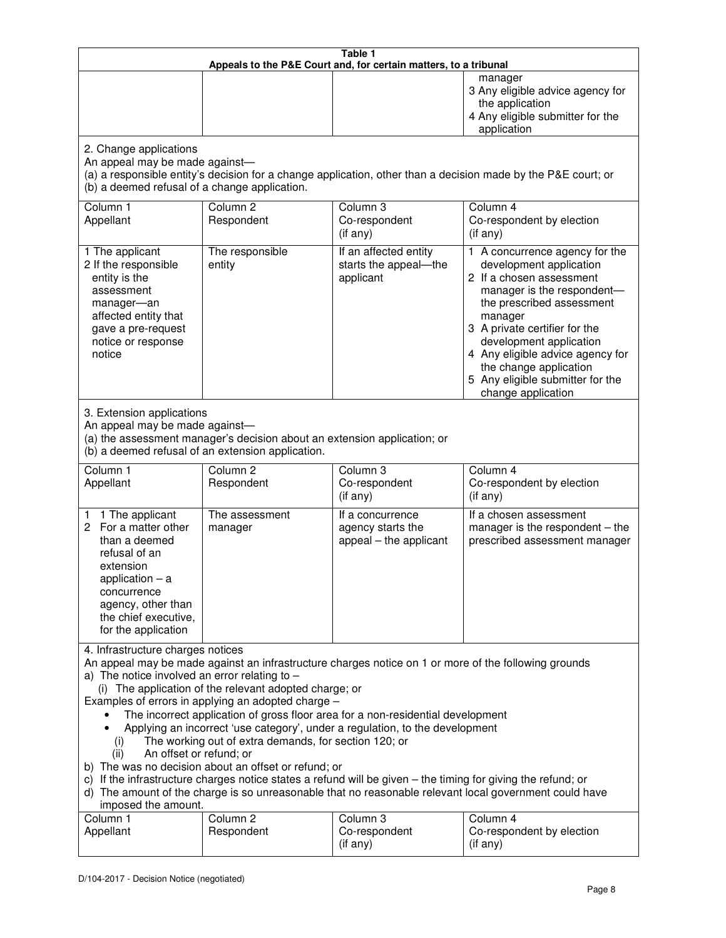| Table 1<br>Appeals to the P&E Court and, for certain matters, to a tribunal                                                                                                                                                                                                                                                                                                                                                                                                                                                                                                                                                                                                                                                                                                                                                                                                                 |                                   |                                                                 |                                                                                                                                                                                                                                                                                                                                                 |
|---------------------------------------------------------------------------------------------------------------------------------------------------------------------------------------------------------------------------------------------------------------------------------------------------------------------------------------------------------------------------------------------------------------------------------------------------------------------------------------------------------------------------------------------------------------------------------------------------------------------------------------------------------------------------------------------------------------------------------------------------------------------------------------------------------------------------------------------------------------------------------------------|-----------------------------------|-----------------------------------------------------------------|-------------------------------------------------------------------------------------------------------------------------------------------------------------------------------------------------------------------------------------------------------------------------------------------------------------------------------------------------|
|                                                                                                                                                                                                                                                                                                                                                                                                                                                                                                                                                                                                                                                                                                                                                                                                                                                                                             |                                   |                                                                 | manager<br>3 Any eligible advice agency for<br>the application<br>4 Any eligible submitter for the<br>application                                                                                                                                                                                                                               |
| 2. Change applications<br>An appeal may be made against-<br>(a) a responsible entity's decision for a change application, other than a decision made by the P&E court; or<br>(b) a deemed refusal of a change application.                                                                                                                                                                                                                                                                                                                                                                                                                                                                                                                                                                                                                                                                  |                                   |                                                                 |                                                                                                                                                                                                                                                                                                                                                 |
| Column 1<br>Appellant                                                                                                                                                                                                                                                                                                                                                                                                                                                                                                                                                                                                                                                                                                                                                                                                                                                                       | Column <sub>2</sub><br>Respondent | Column 3<br>Co-respondent<br>(if any)                           | Column <sub>4</sub><br>Co-respondent by election<br>(if any)                                                                                                                                                                                                                                                                                    |
| 1 The applicant<br>2 If the responsible<br>entity is the<br>assessment<br>manager-an<br>affected entity that<br>gave a pre-request<br>notice or response<br>notice                                                                                                                                                                                                                                                                                                                                                                                                                                                                                                                                                                                                                                                                                                                          | The responsible<br>entity         | If an affected entity<br>starts the appeal-the<br>applicant     | 1 A concurrence agency for the<br>development application<br>2 If a chosen assessment<br>manager is the respondent-<br>the prescribed assessment<br>manager<br>3 A private certifier for the<br>development application<br>4 Any eligible advice agency for<br>the change application<br>5 Any eligible submitter for the<br>change application |
| 3. Extension applications<br>An appeal may be made against-<br>(a) the assessment manager's decision about an extension application; or<br>(b) a deemed refusal of an extension application.                                                                                                                                                                                                                                                                                                                                                                                                                                                                                                                                                                                                                                                                                                |                                   |                                                                 |                                                                                                                                                                                                                                                                                                                                                 |
| Column 1<br>Appellant                                                                                                                                                                                                                                                                                                                                                                                                                                                                                                                                                                                                                                                                                                                                                                                                                                                                       | Column <sub>2</sub><br>Respondent | Column 3<br>Co-respondent<br>(if any)                           | Column 4<br>Co-respondent by election<br>(if any)                                                                                                                                                                                                                                                                                               |
| 1 1 The applicant<br>2 For a matter other<br>than a deemed<br>refusal of an<br>extension<br>application $-$ a<br>concurrence<br>agency, other than<br>the chief executive,<br>for the application                                                                                                                                                                                                                                                                                                                                                                                                                                                                                                                                                                                                                                                                                           | The assessment<br>manager         | If a concurrence<br>agency starts the<br>appeal - the applicant | If a chosen assessment<br>manager is the respondent - the<br>prescribed assessment manager                                                                                                                                                                                                                                                      |
| 4. Infrastructure charges notices<br>An appeal may be made against an infrastructure charges notice on 1 or more of the following grounds<br>a) The notice involved an error relating to $-$<br>(i) The application of the relevant adopted charge; or<br>Examples of errors in applying an adopted charge -<br>The incorrect application of gross floor area for a non-residential development<br>Applying an incorrect 'use category', under a regulation, to the development<br>The working out of extra demands, for section 120; or<br>(i)<br>An offset or refund; or<br>(ii)<br>b) The was no decision about an offset or refund; or<br>c) If the infrastructure charges notice states a refund will be given – the timing for giving the refund; or<br>d) The amount of the charge is so unreasonable that no reasonable relevant local government could have<br>imposed the amount. |                                   |                                                                 |                                                                                                                                                                                                                                                                                                                                                 |
| Column 1<br>Appellant                                                                                                                                                                                                                                                                                                                                                                                                                                                                                                                                                                                                                                                                                                                                                                                                                                                                       | Column <sub>2</sub><br>Respondent | Column 3<br>Co-respondent<br>(if any)                           | Column 4<br>Co-respondent by election<br>(if any)                                                                                                                                                                                                                                                                                               |

 $\mathbf{I}$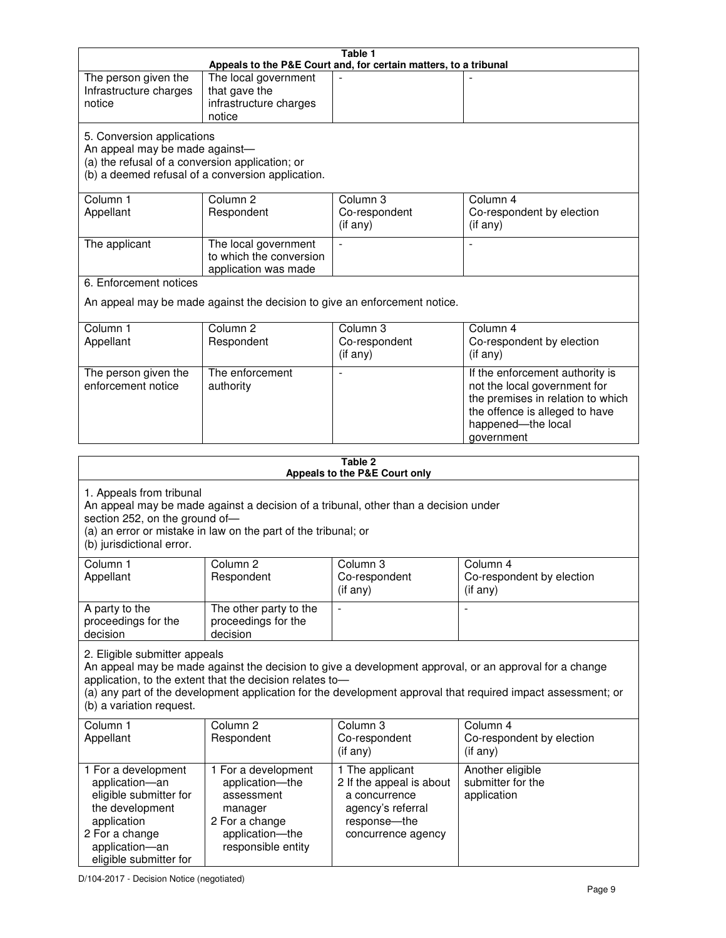| Table 1<br>Appeals to the P&E Court and, for certain matters, to a tribunal                                                                                                                                                                                                                                                                     |                                                                                                                            |                                                                                                                         |                                                                                                                                                                            |
|-------------------------------------------------------------------------------------------------------------------------------------------------------------------------------------------------------------------------------------------------------------------------------------------------------------------------------------------------|----------------------------------------------------------------------------------------------------------------------------|-------------------------------------------------------------------------------------------------------------------------|----------------------------------------------------------------------------------------------------------------------------------------------------------------------------|
| The person given the<br>Infrastructure charges<br>notice                                                                                                                                                                                                                                                                                        | The local government<br>that gave the<br>infrastructure charges<br>notice                                                  |                                                                                                                         |                                                                                                                                                                            |
| 5. Conversion applications<br>An appeal may be made against-<br>(a) the refusal of a conversion application; or<br>(b) a deemed refusal of a conversion application.                                                                                                                                                                            |                                                                                                                            |                                                                                                                         |                                                                                                                                                                            |
| Column 1<br>Appellant                                                                                                                                                                                                                                                                                                                           | Column <sub>2</sub><br>Respondent                                                                                          | Column 3<br>Co-respondent<br>(if any)                                                                                   | Column 4<br>Co-respondent by election<br>(if any)                                                                                                                          |
| The applicant                                                                                                                                                                                                                                                                                                                                   | The local government<br>to which the conversion<br>application was made                                                    | $\blacksquare$                                                                                                          | $\blacksquare$                                                                                                                                                             |
| 6. Enforcement notices                                                                                                                                                                                                                                                                                                                          |                                                                                                                            |                                                                                                                         |                                                                                                                                                                            |
|                                                                                                                                                                                                                                                                                                                                                 | An appeal may be made against the decision to give an enforcement notice.                                                  |                                                                                                                         |                                                                                                                                                                            |
| Column 1<br>Appellant                                                                                                                                                                                                                                                                                                                           | Column <sub>2</sub><br>Respondent                                                                                          | Column 3<br>Co-respondent<br>(if any)                                                                                   | Column 4<br>Co-respondent by election<br>(if any)                                                                                                                          |
| The person given the<br>enforcement notice                                                                                                                                                                                                                                                                                                      | The enforcement<br>authority                                                                                               | $\overline{a}$                                                                                                          | If the enforcement authority is<br>not the local government for<br>the premises in relation to which<br>the offence is alleged to have<br>happened-the local<br>government |
|                                                                                                                                                                                                                                                                                                                                                 |                                                                                                                            | Table 2                                                                                                                 |                                                                                                                                                                            |
| Appeals to the P&E Court only<br>1. Appeals from tribunal<br>An appeal may be made against a decision of a tribunal, other than a decision under<br>section 252, on the ground of-<br>(a) an error or mistake in law on the part of the tribunal; or<br>(b) jurisdictional error.                                                               |                                                                                                                            |                                                                                                                         |                                                                                                                                                                            |
| Column <sub>1</sub><br>Appellant                                                                                                                                                                                                                                                                                                                | Column 2<br>Respondent                                                                                                     | Column 3<br>Co-respondent<br>(i f any)                                                                                  | Column 4<br>Co-respondent by election<br>$($ if any $)$                                                                                                                    |
| A party to the<br>proceedings for the<br>decision                                                                                                                                                                                                                                                                                               | The other party to the<br>proceedings for the<br>decision                                                                  | $\overline{a}$                                                                                                          |                                                                                                                                                                            |
| 2. Eligible submitter appeals<br>An appeal may be made against the decision to give a development approval, or an approval for a change<br>application, to the extent that the decision relates to-<br>(a) any part of the development application for the development approval that required impact assessment; or<br>(b) a variation request. |                                                                                                                            |                                                                                                                         |                                                                                                                                                                            |
| Column 1<br>Appellant                                                                                                                                                                                                                                                                                                                           | Column 2<br>Respondent                                                                                                     | Column 3<br>Co-respondent<br>(if any)                                                                                   | Column 4<br>Co-respondent by election<br>(if any)                                                                                                                          |
| 1 For a development<br>application-an<br>eligible submitter for<br>the development<br>application<br>2 For a change<br>application-an<br>eligible submitter for                                                                                                                                                                                 | 1 For a development<br>application-the<br>assessment<br>manager<br>2 For a change<br>application-the<br>responsible entity | 1 The applicant<br>2 If the appeal is about<br>a concurrence<br>agency's referral<br>response-the<br>concurrence agency | Another eligible<br>submitter for the<br>application                                                                                                                       |

D/104-2017 - Decision Notice (negotiated)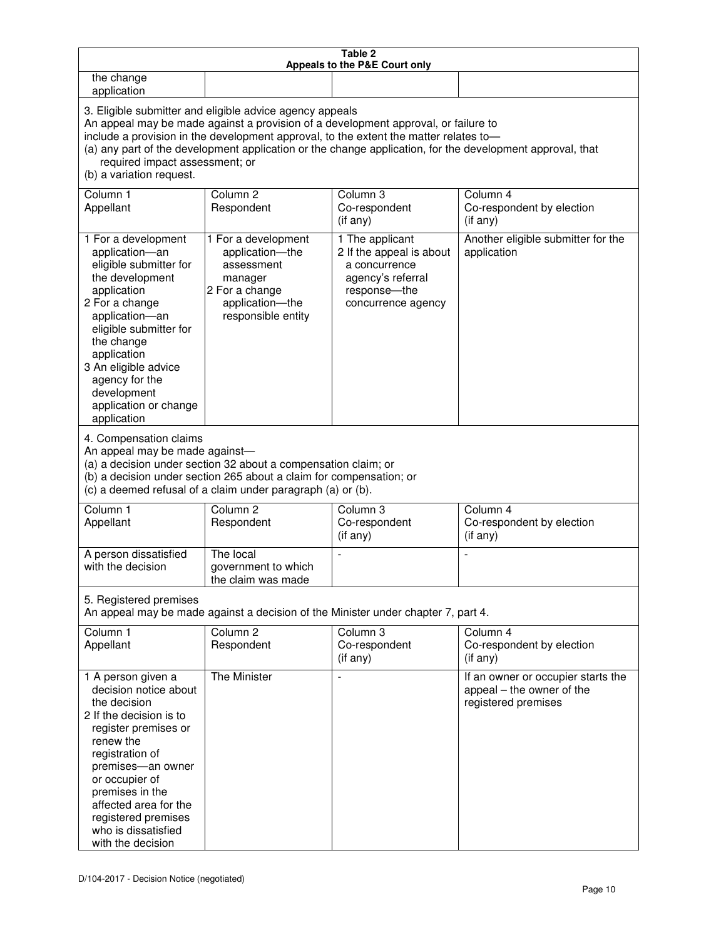| Table 2<br>Appeals to the P&E Court only                                                                                                                                                                                                                                                                                                                                                                           |                                                                                                                                                                                                                                                                     |                                                                                                                         |                                                                                        |
|--------------------------------------------------------------------------------------------------------------------------------------------------------------------------------------------------------------------------------------------------------------------------------------------------------------------------------------------------------------------------------------------------------------------|---------------------------------------------------------------------------------------------------------------------------------------------------------------------------------------------------------------------------------------------------------------------|-------------------------------------------------------------------------------------------------------------------------|----------------------------------------------------------------------------------------|
| the change<br>application                                                                                                                                                                                                                                                                                                                                                                                          |                                                                                                                                                                                                                                                                     |                                                                                                                         |                                                                                        |
| 3. Eligible submitter and eligible advice agency appeals<br>An appeal may be made against a provision of a development approval, or failure to<br>include a provision in the development approval, to the extent the matter relates to-<br>(a) any part of the development application or the change application, for the development approval, that<br>required impact assessment; or<br>(b) a variation request. |                                                                                                                                                                                                                                                                     |                                                                                                                         |                                                                                        |
| Column 1<br>Appellant                                                                                                                                                                                                                                                                                                                                                                                              | Column <sub>2</sub><br>Respondent                                                                                                                                                                                                                                   | Column 3<br>Co-respondent<br>(if any)                                                                                   | Column 4<br>Co-respondent by election<br>(if any)                                      |
| 1 For a development<br>application-an<br>eligible submitter for<br>the development<br>application<br>2 For a change<br>application-an<br>eligible submitter for<br>the change<br>application<br>3 An eligible advice<br>agency for the<br>development<br>application or change<br>application<br>4. Compensation claims<br>An appeal may be made against-                                                          | 1 For a development<br>application-the<br>assessment<br>manager<br>2 For a change<br>application-the<br>responsible entity<br>(a) a decision under section 32 about a compensation claim; or<br>(b) a decision under section 265 about a claim for compensation; or | 1 The applicant<br>2 If the appeal is about<br>a concurrence<br>agency's referral<br>response-the<br>concurrence agency | Another eligible submitter for the<br>application                                      |
|                                                                                                                                                                                                                                                                                                                                                                                                                    | (c) a deemed refusal of a claim under paragraph (a) or (b).                                                                                                                                                                                                         |                                                                                                                         |                                                                                        |
| Column 1<br>Appellant                                                                                                                                                                                                                                                                                                                                                                                              | Column <sub>2</sub><br>Respondent                                                                                                                                                                                                                                   | Column 3<br>Co-respondent<br>(if any)                                                                                   | Column 4<br>Co-respondent by election<br>(if any)                                      |
| A person dissatisfied<br>with the decision                                                                                                                                                                                                                                                                                                                                                                         | The local<br>government to which<br>the claim was made                                                                                                                                                                                                              |                                                                                                                         |                                                                                        |
| 5. Registered premises<br>An appeal may be made against a decision of the Minister under chapter 7, part 4.                                                                                                                                                                                                                                                                                                        |                                                                                                                                                                                                                                                                     |                                                                                                                         |                                                                                        |
| Column 1<br>Appellant                                                                                                                                                                                                                                                                                                                                                                                              | Column <sub>2</sub><br>Respondent                                                                                                                                                                                                                                   | Column 3<br>Co-respondent<br>(if any)                                                                                   | Column 4<br>Co-respondent by election<br>(if any)                                      |
| 1 A person given a<br>decision notice about<br>the decision<br>2 If the decision is to<br>register premises or<br>renew the<br>registration of<br>premises-an owner<br>or occupier of<br>premises in the<br>affected area for the<br>registered premises<br>who is dissatisfied<br>with the decision                                                                                                               | The Minister                                                                                                                                                                                                                                                        |                                                                                                                         | If an owner or occupier starts the<br>appeal – the owner of the<br>registered premises |